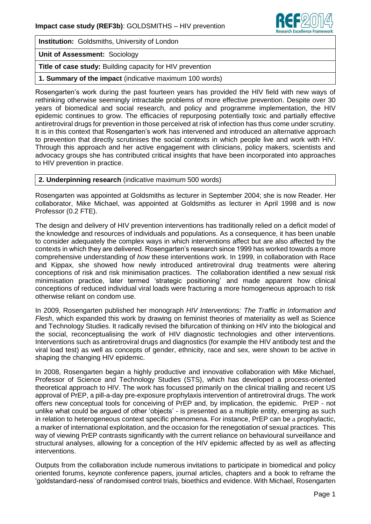

**Institution:** Goldsmiths, University of London

**Unit of Assessment:** Sociology

**Title of case study:** Building capacity for HIV prevention

**1. Summary of the impact** (indicative maximum 100 words)

Rosengarten's work during the past fourteen years has provided the HIV field with new ways of rethinking otherwise seemingly intractable problems of more effective prevention. Despite over 30 years of biomedical and social research, and policy and programme implementation, the HIV epidemic continues to grow. The efficacies of repurposing potentially toxic and partially effective antiretroviral drugs for prevention in those perceived at risk of infection has thus come under scrutiny. It is in this context that Rosengarten's work has intervened and introduced an alternative approach to prevention that directly scrutinises the social contexts in which people live and work with HIV. Through this approach and her active engagement with clinicians, policy makers, scientists and advocacy groups she has contributed critical insights that have been incorporated into approaches to HIV prevention in practice.

#### **2. Underpinning research** (indicative maximum 500 words)

Rosengarten was appointed at Goldsmiths as lecturer in September 2004; she is now Reader. Her collaborator, Mike Michael, was appointed at Goldsmiths as lecturer in April 1998 and is now Professor (0.2 FTE).

The design and delivery of HIV prevention interventions has traditionally relied on a deficit model of the knowledge and resources of individuals and populations. As a consequence, it has been unable to consider adequately the complex ways in which interventions affect but are also affected by the contexts in which they are delivered. Rosengarten's research since 1999 has worked towards a more comprehensive understanding of *how* these interventions work. In 1999, in collaboration with Race and Kippax, she showed how newly introduced antiretroviral drug treatments were altering conceptions of risk and risk minimisation practices. The collaboration identified a new sexual risk minimisation practice, later termed 'strategic positioning' and made apparent how clinical conceptions of reduced individual viral loads were fracturing a more homogeneous approach to risk otherwise reliant on condom use.

In 2009, Rosengarten published her monograph *HIV Interventions: The Traffic in Information and Flesh*, which expanded this work by drawing on feminist theories of materiality as well as Science and Technology Studies. It radically revised the bifurcation of thinking on HIV into the biological and the social, reconceptualising the work of HIV diagnostic technologies and other interventions. Interventions such as antiretroviral drugs and diagnostics (for example the HIV antibody test and the viral load test) as well as concepts of gender, ethnicity, race and sex, were shown to be active in shaping the changing HIV epidemic.

In 2008, Rosengarten began a highly productive and innovative collaboration with Mike Michael, Professor of Science and Technology Studies (STS), which has developed a process-oriented theoretical approach to HIV. The work has focussed primarily on the clinical trialling and recent US approval of PrEP, a pill-a-day pre-exposure prophylaxis intervention of antiretroviral drugs. The work offers new conceptual tools for conceiving of PrEP and, by implication, the epidemic. PrEP - not unlike what could be argued of other 'objects' - is presented as a multiple entity, emerging as such in relation to heterogeneous context specific phenomena. For instance, PrEP can be a prophylactic, a marker of international exploitation, and the occasion for the renegotiation of sexual practices. This way of viewing PrEP contrasts significantly with the current reliance on behavioural surveillance and structural analyses, allowing for a conception of the HIV epidemic affected by as well as affecting interventions.

Outputs from the collaboration include numerous invitations to participate in biomedical and policy oriented forums, keynote conference papers, journal articles, chapters and a book to reframe the 'goldstandard-ness' of randomised control trials, bioethics and evidence. With Michael, Rosengarten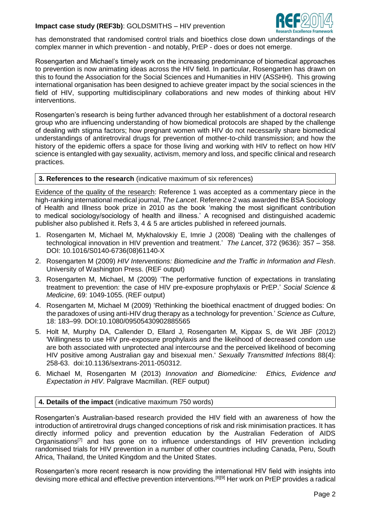## **Impact case study (REF3b)**: GOLDSMITHS – HIV prevention



has demonstrated that randomised control trials and bioethics close down understandings of the complex manner in which prevention - and notably, PrEP - does or does not emerge.

Rosengarten and Michael's timely work on the increasing predominance of biomedical approaches to prevention is now animating ideas across the HIV field. In particular, Rosengarten has drawn on this to found the Association for the Social Sciences and Humanities in HIV (ASSHH). This growing international organisation has been designed to achieve greater impact by the social sciences in the field of HIV, supporting multidisciplinary collaborations and new modes of thinking about HIV interventions.

Rosengarten's research is being further advanced through her establishment of a doctoral research group who are influencing understanding of how biomedical protocols are shaped by the challenge of dealing with stigma factors; how pregnant women with HIV do not necessarily share biomedical understandings of antiretroviral drugs for prevention of mother-to-child transmission; and how the history of the epidemic offers a space for those living and working with HIV to reflect on how HIV science is entangled with gay sexuality, activism, memory and loss, and specific clinical and research practices.

### **3. References to the research** (indicative maximum of six references)

Evidence of the quality of the research: Reference 1 was accepted as a commentary piece in the high-ranking international medical journal, *The Lancet*. Reference 2 was awarded the BSA Sociology of Health and Illness book prize in 2010 as the book 'making the most significant contribution to medical sociology/sociology of health and illness.' A recognised and distinguished academic publisher also published it. Refs 3, 4 & 5 are articles published in refereed journals.

- 1. Rosengarten M, Michael M, Mykhalovskiy E, Imrie J (2008) 'Dealing with the challenges of technological innovation in HIV prevention and treatment.' *The Lancet*, 372 (9636): 357 – 358. DOI: 10.1016/S0140-6736(08)61140-X
- 2. Rosengarten M (2009) *HIV Interventions: Biomedicine and the Traffic in Information and Flesh*. University of Washington Press. (REF output)
- 3. Rosengarten M, Michael, M (2009) 'The performative function of expectations in translating treatment to prevention: the case of HIV pre-exposure prophylaxis or PrEP.' *Social Science & Medicine*, 69: 1049-1055. (REF output)
- 4. Rosengarten M, Michael M (2009) 'Rethinking the bioethical enactment of drugged bodies: On the paradoxes of using anti-HIV drug therapy as a technology for prevention.' *Science as Culture,*  18: 183–99. DOI:10.1080/09505430902885565
- 5. Holt M, Murphy DA, Callender D, Ellard J, Rosengarten M, Kippax S, de Wit JBF (2012) 'Willingness to use HIV pre-exposure prophylaxis and the likelihood of decreased condom use are both associated with unprotected anal intercourse and the perceived likelihood of becoming HIV positive among Australian gay and bisexual men.' *Sexually Transmitted Infections* 88(4): 258-63. doi:10.1136/sextrans-2011-050312.
- 6. Michael M, Rosengarten M (2013) *Innovation and Biomedicine: Ethics, Evidence and Expectation in HIV*. Palgrave Macmillan. (REF output)

## **4. Details of the impact** (indicative maximum 750 words)

Rosengarten's Australian-based research provided the HIV field with an awareness of how the introduction of antiretroviral drugs changed conceptions of risk and risk minimisation practices. It has directly informed policy and prevention education by the Australian Federation of AIDS Organisations<sup>[7]</sup> and has gone on to influence understandings of HIV prevention including randomised trials for HIV prevention in a number of other countries including Canada, Peru, South Africa, Thailand, the United Kingdom and the United States.

Rosengarten's more recent research is now providing the international HIV field with insights into devising more ethical and effective prevention interventions.[8][9] Her work on PrEP provides a radical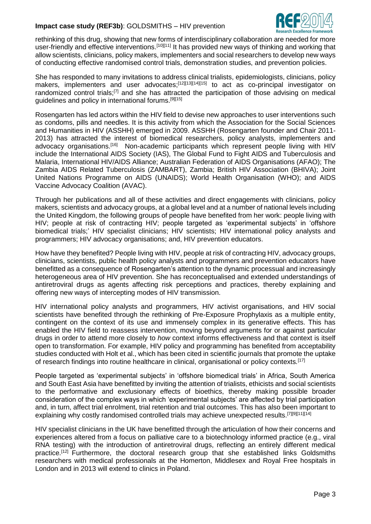# **Impact case study (REF3b)**: GOLDSMITHS – HIV prevention



rethinking of this drug, showing that new forms of interdisciplinary collaboration are needed for more user-friendly and effective interventions.<sup>[10][11]</sup> It has provided new ways of thinking and working that allow scientists, clinicians, policy makers, implementers and social researchers to develop new ways of conducting effective randomised control trials, demonstration studies, and prevention policies.

She has responded to many invitations to address clinical trialists, epidemiologists, clinicians, policy makers, implementers and user advocates;<sup>[12][13][14][15]</sup> to act as co-principal investigator on randomized control trials;<sup>[7]</sup> and she has attracted the participation of those advising on medical guidelines and policy in international forums.<sup>[9][15]</sup>

Rosengarten has led actors within the HIV field to devise new approaches to user interventions such as condoms, pills and needles. It is this activity from which the Association for the Social Sciences and Humanities in HIV (ASSHH) emerged in 2009. ASSHH (Rosengarten founder and Chair 2011- 2013) has attracted the interest of biomedical researchers, policy analysts, implementers and advocacy organisations.<sup>[16]</sup> Non-academic participants which represent people living with HIV include the International AIDS Society (IAS), The Global Fund to Fight AIDS and Tuberculosis and Malaria, International HIV/AIDS Alliance; Australian Federation of AIDS Organisations (AFAO); The Zambia AIDS Related Tuberculosis (ZAMBART), Zambia; British HIV Association (BHIVA); Joint United Nations Programme on AIDS (UNAIDS); World Health Organisation (WHO); and AIDS Vaccine Advocacy Coalition (AVAC).

Through her publications and all of these activities and direct engagements with clinicians, policy makers, scientists and advocacy groups, at a global level and at a number of national levels including the United Kingdom, the following groups of people have benefited from her work: people living with HIV; people at risk of contracting HIV; people targeted as 'experimental subjects' in 'offshore biomedical trials;' HIV specialist clinicians; HIV scientists; HIV international policy analysts and programmers; HIV advocacy organisations; and, HIV prevention educators.

How have they benefited? People living with HIV, people at risk of contracting HIV, advocacy groups, clinicians, scientists, public health policy analysts and programmers and prevention educators have benefitted as a consequence of Rosengarten's attention to the dynamic processual and increasingly heterogeneous area of HIV prevention. She has reconceptualised and extended understandings of antiretroviral drugs as agents affecting risk perceptions and practices, thereby explaining and offering new ways of intercepting modes of HIV transmission.

HIV international policy analysts and programmers, HIV activist organisations, and HIV social scientists have benefited through the rethinking of Pre-Exposure Prophylaxis as a multiple entity, contingent on the context of its use and immensely complex in its generative effects. This has enabled the HIV field to reassess intervention, moving beyond arguments for or against particular drugs in order to attend more closely to *how* context informs effectiveness and that context is itself open to transformation. For example, HIV policy and programming has benefited from acceptability studies conducted with Holt et al., which has been cited in scientific journals that promote the uptake of research findings into routine healthcare in clinical, organisational or policy contexts*.* [17]

People targeted as 'experimental subjects' in 'offshore biomedical trials' in Africa, South America and South East Asia have benefitted by inviting the attention of trialists, ethicists and social scientists to the performative and exclusionary effects of bioethics, thereby making possible broader consideration of the complex ways in which 'experimental subjects' are affected by trial participation and, in turn, affect trial enrolment, trial retention and trial outcomes. This has also been important to explaining why costly randomised controlled trials may achieve unexpected results.<sup>[7][9][11][14]</sup>

HIV specialist clinicians in the UK have benefitted through the articulation of how their concerns and experiences altered from a focus on palliative care to a biotechnology informed practice (e.g., viral RNA testing) with the introduction of antiretroviral drugs, reflecting an entirely different medical practice.<sup>[12]</sup> Furthermore, the doctoral research group that she established links Goldsmiths researchers with medical professionals at the Homerton, Middlesex and Royal Free hospitals in London and in 2013 will extend to clinics in Poland.